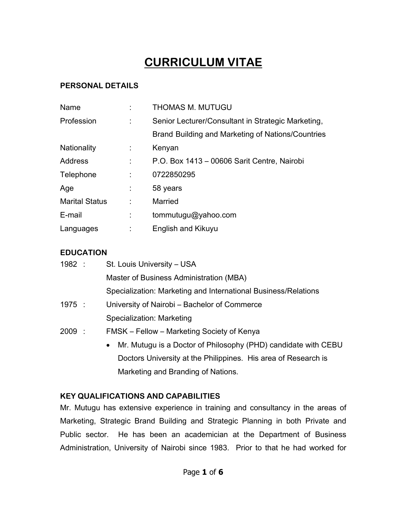# **CURRICULUM VITAE**

# **PERSONAL DETAILS**

| Name                  |   | <b>THOMAS M. MUTUGU</b>                            |
|-----------------------|---|----------------------------------------------------|
| Profession            |   | Senior Lecturer/Consultant in Strategic Marketing, |
|                       |   | Brand Building and Marketing of Nations/Countries  |
| Nationality           | t | Kenyan                                             |
| <b>Address</b>        |   | P.O. Box 1413 - 00606 Sarit Centre, Nairobi        |
| Telephone             |   | 0722850295                                         |
| Age                   |   | 58 years                                           |
| <b>Marital Status</b> |   | Married                                            |
| E-mail                |   | tommutugu@yahoo.com                                |
| Languages             |   | English and Kikuyu                                 |

### **EDUCATION**

| 1982 : |  | St. Louis University – USA                                                  |  |  |
|--------|--|-----------------------------------------------------------------------------|--|--|
|        |  | Master of Business Administration (MBA)                                     |  |  |
|        |  | Specialization: Marketing and International Business/Relations              |  |  |
| 1975 : |  | University of Nairobi – Bachelor of Commerce                                |  |  |
|        |  | Specialization: Marketing                                                   |  |  |
| 2009:  |  | FMSK – Fellow – Marketing Society of Kenya                                  |  |  |
|        |  | Mr. Mutugu is a Doctor of Philosophy (PHD) candidate with CEBU<br>$\bullet$ |  |  |
|        |  | Doctors University at the Philippines. His area of Research is              |  |  |
|        |  | Marketing and Branding of Nations.                                          |  |  |

## **KEY QUALIFICATIONS AND CAPABILITIES**

Mr. Mutugu has extensive experience in training and consultancy in the areas of Marketing, Strategic Brand Building and Strategic Planning in both Private and Public sector. He has been an academician at the Department of Business Administration, University of Nairobi since 1983. Prior to that he had worked for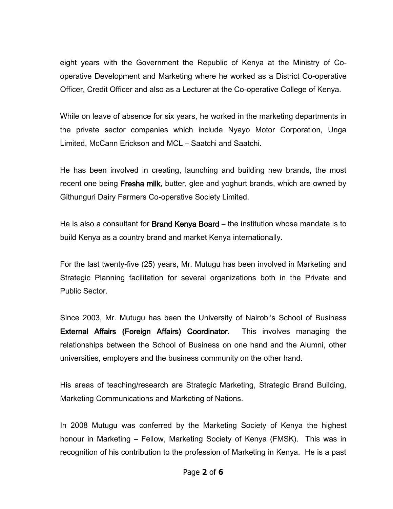eight years with the Government the Republic of Kenya at the Ministry of Cooperative Development and Marketing where he worked as a District Co-operative Officer, Credit Officer and also as a Lecturer at the Co-operative College of Kenya.

While on leave of absence for six years, he worked in the marketing departments in the private sector companies which include Nyayo Motor Corporation, Unga Limited, McCann Erickson and MCL – Saatchi and Saatchi.

He has been involved in creating, launching and building new brands, the most recent one being Fresha milk, butter, glee and yoghurt brands, which are owned by Githunguri Dairy Farmers Co-operative Society Limited.

He is also a consultant for **Brand Kenya Board** – the institution whose mandate is to build Kenya as a country brand and market Kenya internationally.

For the last twenty-five (25) years, Mr. Mutugu has been involved in Marketing and Strategic Planning facilitation for several organizations both in the Private and Public Sector.

Since 2003, Mr. Mutugu has been the University of Nairobi's School of Business External Affairs (Foreign Affairs) Coordinator. This involves managing the relationships between the School of Business on one hand and the Alumni, other universities, employers and the business community on the other hand.

His areas of teaching/research are Strategic Marketing, Strategic Brand Building, Marketing Communications and Marketing of Nations.

In 2008 Mutugu was conferred by the Marketing Society of Kenya the highest honour in Marketing – Fellow, Marketing Society of Kenya (FMSK). This was in recognition of his contribution to the profession of Marketing in Kenya. He is a past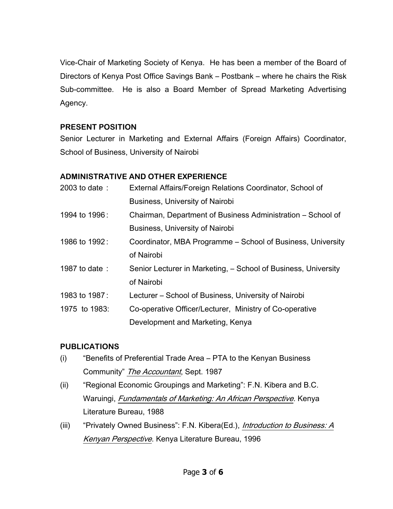Vice-Chair of Marketing Society of Kenya. He has been a member of the Board of Directors of Kenya Post Office Savings Bank – Postbank – where he chairs the Risk Sub-committee. He is also a Board Member of Spread Marketing Advertising Agency.

#### **PRESENT POSITION**

Senior Lecturer in Marketing and External Affairs (Foreign Affairs) Coordinator, School of Business, University of Nairobi

## **ADMINISTRATIVE AND OTHER EXPERIENCE**

| 2003 to date: | External Affairs/Foreign Relations Coordinator, School of      |
|---------------|----------------------------------------------------------------|
|               | <b>Business, University of Nairobi</b>                         |
| 1994 to 1996: | Chairman, Department of Business Administration – School of    |
|               | <b>Business, University of Nairobi</b>                         |
| 1986 to 1992: | Coordinator, MBA Programme – School of Business, University    |
|               | of Nairobi                                                     |
| 1987 to date: | Senior Lecturer in Marketing, – School of Business, University |
|               | of Nairobi                                                     |
| 1983 to 1987: | Lecturer – School of Business, University of Nairobi           |
| 1975 to 1983: | Co-operative Officer/Lecturer, Ministry of Co-operative        |
|               | Development and Marketing, Kenya                               |

## **PUBLICATIONS**

- (i) "Benefits of Preferential Trade Area PTA to the Kenyan Business Community" The Accountant, Sept. 1987
- (ii) "Regional Economic Groupings and Marketing": F.N. Kibera and B.C. Waruingi, Fundamentals of Marketing: An African Perspective. Kenya Literature Bureau, 1988
- (iii) "Privately Owned Business": F.N. Kibera(Ed.), Introduction to Business: A Kenyan Perspective. Kenya Literature Bureau, 1996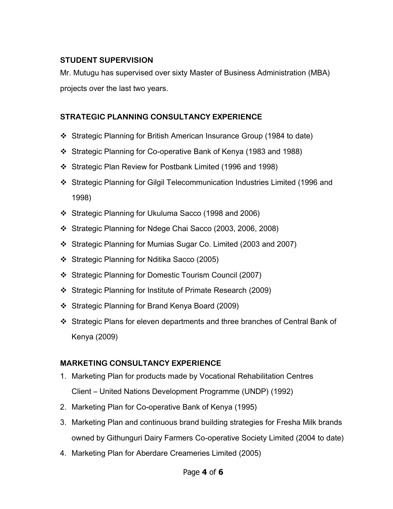#### **STUDENT SUPERVISION**

Mr. Mutugu has supervised over sixty Master of Business Administration (MBA) projects over the last two years.

## **STRATEGIC PLANNING CONSULTANCY EXPERIENCE**

- Strategic Planning for British American Insurance Group (1984 to date)
- Strategic Planning for Co-operative Bank of Kenya (1983 and 1988)
- Strategic Plan Review for Postbank Limited (1996 and 1998)
- Strategic Planning for Gilgil Telecommunication Industries Limited (1996 and 1998)
- Strategic Planning for Ukuluma Sacco (1998 and 2006)
- Strategic Planning for Ndege Chai Sacco (2003, 2006, 2008)
- Strategic Planning for Mumias Sugar Co. Limited (2003 and 2007)
- Strategic Planning for Nditika Sacco (2005)
- Strategic Planning for Domestic Tourism Council (2007)
- Strategic Planning for Institute of Primate Research (2009)
- Strategic Planning for Brand Kenya Board (2009)
- Strategic Plans for eleven departments and three branches of Central Bank of Kenya (2009)

# **MARKETING CONSULTANCY EXPERIENCE**

- 1. Marketing Plan for products made by Vocational Rehabilitation Centres Client – United Nations Development Programme (UNDP) (1992)
- 2. Marketing Plan for Co-operative Bank of Kenya (1995)
- 3. Marketing Plan and continuous brand building strategies for Fresha Milk brands owned by Githunguri Dairy Farmers Co-operative Society Limited (2004 to date)
- 4. Marketing Plan for Aberdare Creameries Limited (2005)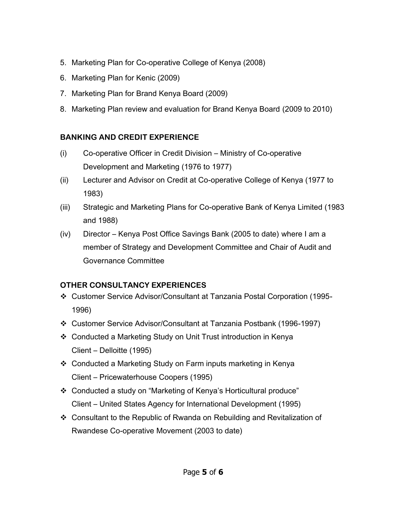- 5. Marketing Plan for Co-operative College of Kenya (2008)
- 6. Marketing Plan for Kenic (2009)
- 7. Marketing Plan for Brand Kenya Board (2009)
- 8. Marketing Plan review and evaluation for Brand Kenya Board (2009 to 2010)

## **BANKING AND CREDIT EXPERIENCE**

- (i) Co-operative Officer in Credit Division Ministry of Co-operative Development and Marketing (1976 to 1977)
- (ii) Lecturer and Advisor on Credit at Co-operative College of Kenya (1977 to 1983)
- (iii) Strategic and Marketing Plans for Co-operative Bank of Kenya Limited (1983 and 1988)
- (iv) Director Kenya Post Office Savings Bank (2005 to date) where I am a member of Strategy and Development Committee and Chair of Audit and Governance Committee

# **OTHER CONSULTANCY EXPERIENCES**

- Customer Service Advisor/Consultant at Tanzania Postal Corporation (1995- 1996)
- Customer Service Advisor/Consultant at Tanzania Postbank (1996-1997)
- Conducted a Marketing Study on Unit Trust introduction in Kenya Client – Delloitte (1995)
- Conducted a Marketing Study on Farm inputs marketing in Kenya Client – Pricewaterhouse Coopers (1995)
- Conducted a study on "Marketing of Kenya's Horticultural produce" Client – United States Agency for International Development (1995)
- Consultant to the Republic of Rwanda on Rebuilding and Revitalization of Rwandese Co-operative Movement (2003 to date)